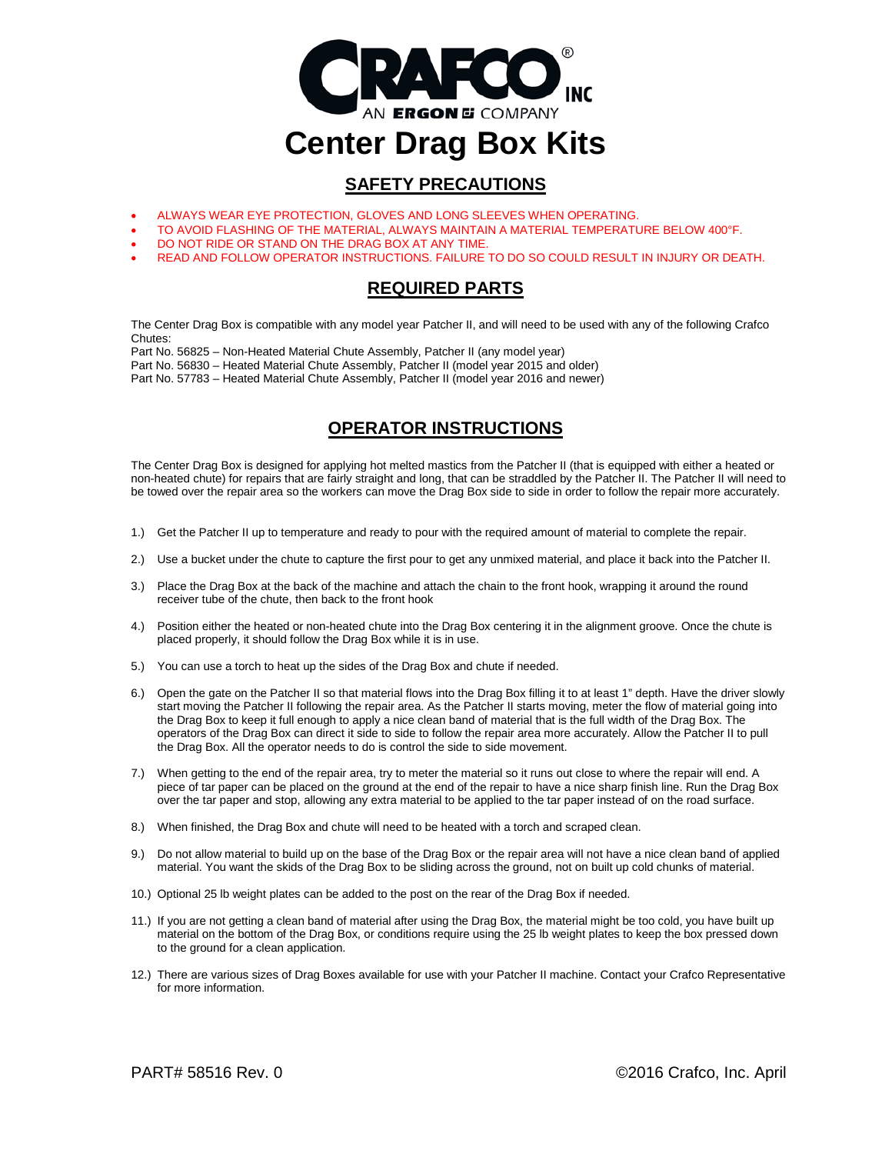

# **SAFETY PRECAUTIONS**

- ALWAYS WEAR EYE PROTECTION, GLOVES AND LONG SLEEVES WHEN OPERATING.
- TO AVOID FLASHING OF THE MATERIAL, ALWAYS MAINTAIN A MATERIAL TEMPERATURE BELOW 400°F.
- DO NOT RIDE OR STAND ON THE DRAG BOX AT ANY TIME.
- READ AND FOLLOW OPERATOR INSTRUCTIONS. FAILURE TO DO SO COULD RESULT IN INJURY OR DEATH.

# **REQUIRED PARTS**

The Center Drag Box is compatible with any model year Patcher II, and will need to be used with any of the following Crafco Chutes:

Part No. 56825 – Non-Heated Material Chute Assembly, Patcher II (any model year)

Part No. 56830 – Heated Material Chute Assembly, Patcher II (model year 2015 and older)

Part No. 57783 – Heated Material Chute Assembly, Patcher II (model year 2016 and newer)

# **OPERATOR INSTRUCTIONS**

The Center Drag Box is designed for applying hot melted mastics from the Patcher II (that is equipped with either a heated or non-heated chute) for repairs that are fairly straight and long, that can be straddled by the Patcher II. The Patcher II will need to be towed over the repair area so the workers can move the Drag Box side to side in order to follow the repair more accurately.

- 1.) Get the Patcher II up to temperature and ready to pour with the required amount of material to complete the repair.
- 2.) Use a bucket under the chute to capture the first pour to get any unmixed material, and place it back into the Patcher II.
- 3.) Place the Drag Box at the back of the machine and attach the chain to the front hook, wrapping it around the round receiver tube of the chute, then back to the front hook
- 4.) Position either the heated or non-heated chute into the Drag Box centering it in the alignment groove. Once the chute is placed properly, it should follow the Drag Box while it is in use.
- 5.) You can use a torch to heat up the sides of the Drag Box and chute if needed.
- 6.) Open the gate on the Patcher II so that material flows into the Drag Box filling it to at least 1" depth. Have the driver slowly start moving the Patcher II following the repair area. As the Patcher II starts moving, meter the flow of material going into the Drag Box to keep it full enough to apply a nice clean band of material that is the full width of the Drag Box. The operators of the Drag Box can direct it side to side to follow the repair area more accurately. Allow the Patcher II to pull the Drag Box. All the operator needs to do is control the side to side movement.
- 7.) When getting to the end of the repair area, try to meter the material so it runs out close to where the repair will end. A piece of tar paper can be placed on the ground at the end of the repair to have a nice sharp finish line. Run the Drag Box over the tar paper and stop, allowing any extra material to be applied to the tar paper instead of on the road surface.
- 8.) When finished, the Drag Box and chute will need to be heated with a torch and scraped clean.
- 9.) Do not allow material to build up on the base of the Drag Box or the repair area will not have a nice clean band of applied material. You want the skids of the Drag Box to be sliding across the ground, not on built up cold chunks of material.
- 10.) Optional 25 lb weight plates can be added to the post on the rear of the Drag Box if needed.
- 11.) If you are not getting a clean band of material after using the Drag Box, the material might be too cold, you have built up material on the bottom of the Drag Box, or conditions require using the 25 lb weight plates to keep the box pressed down to the ground for a clean application.
- 12.) There are various sizes of Drag Boxes available for use with your Patcher II machine. Contact your Crafco Representative for more information.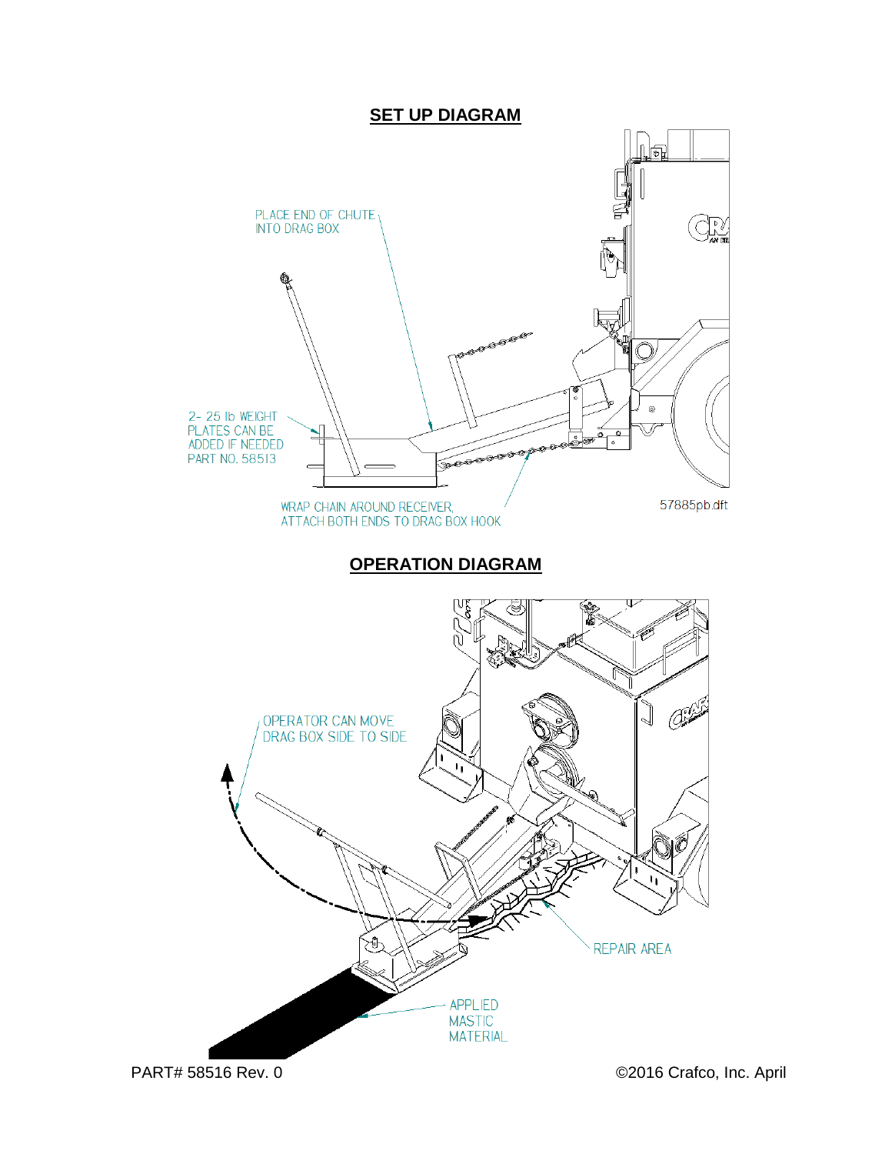